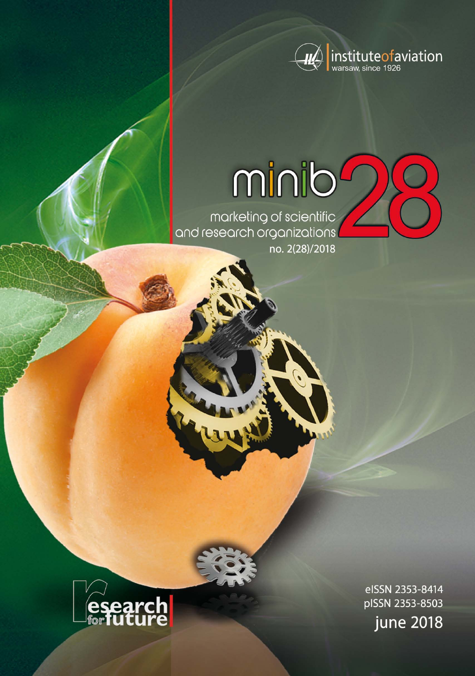

# minib

marketing of scientific<br>and research organizations no. 2(28)/2018



eISSN 2353-8414 pISSN 2353-8503 **june 2018**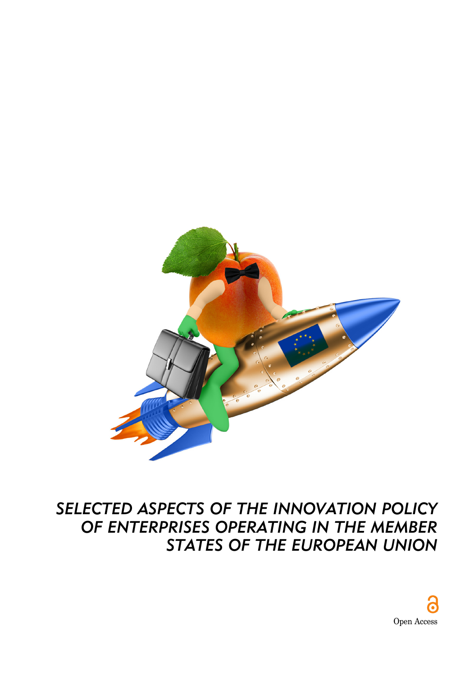

## *SELECTED ASPECTS OF THE INNOVATION POLICY OF ENTERPRISES OPERATING IN THE MEMBER STATES OF THE EUROPEAN UNION*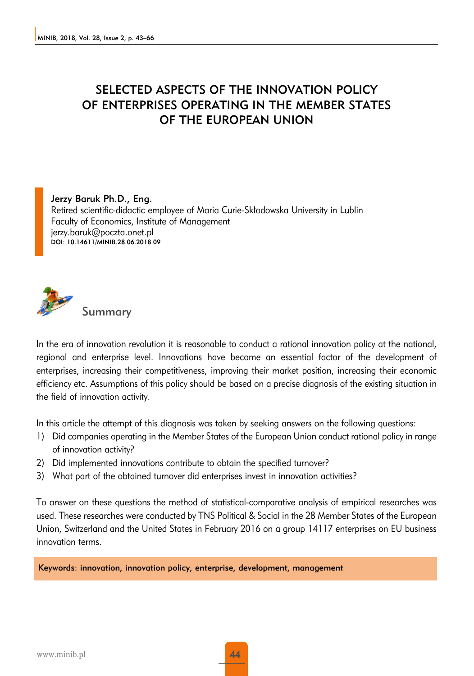### SELECTED ASPECTS OF THE INNOVATION POLICY OF ENTERPRISES OPERATING IN THE MEMBER STATES OF THE EUROPEAN UNION

#### Jerzy Baruk Ph.D., Eng.

Retired scientific-didactic employee of Maria Curie-Skłodowska University in Lublin Faculty of Economics, Institute of Management jerzy.baruk@poczta.onet.pl DOI: 10.14611/MINIB.28.06.2018.09



Summary

In the era of innovation revolution it is reasonable to conduct a rational innovation policy at the national, regional and enterprise level. Innovations have become an essential factor of the development of enterprises, increasing their competitiveness, improving their market position, increasing their economic efficiency etc. Assumptions of this policy should be based on a precise diagnosis of the existing situation in the field of innovation activity.

In this article the attempt of this diagnosis was taken by seeking answers on the following questions:

- 1) Did companies operating in the Member States of the European Union conduct rational policy in range of innovation activity?
- 2) Did implemented innovations contribute to obtain the specified turnover?
- 3) What part of the obtained turnover did enterprises invest in innovation activities?

To answer on these questions the method of statistical-comparative analysis of empirical researches was used. These researches were conducted by TNS Political & Social in the 28 Member States of the European Union, Switzerland and the United States in February 2016 on a group 14117 enterprises on EU business innovation terms.

Keywords: innovation, innovation policy, enterprise, development, management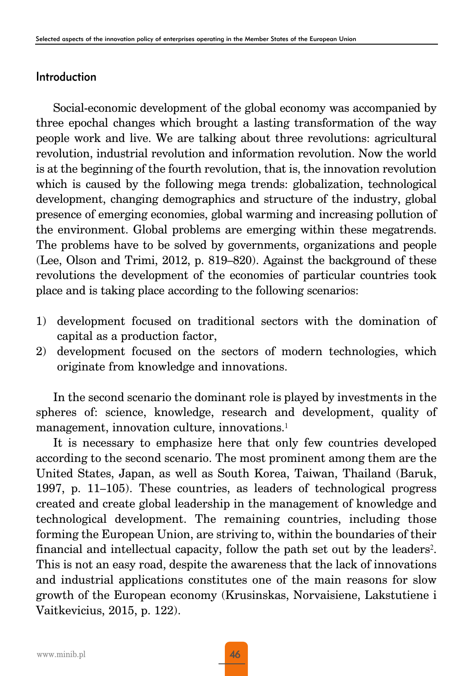#### Introduction

Social-economic development of the global economy was accompanied by three epochal changes which brought a lasting transformation of the way people work and live. We are talking about three revolutions: agricultural revolution, industrial revolution and information revolution. Now the world is at the beginning of the fourth revolution, that is, the innovation revolution which is caused by the following mega trends: globalization, technological development, changing demographics and structure of the industry, global presence of emerging economies, global warming and increasing pollution of the environment. Global problems are emerging within these megatrends. The problems have to be solved by governments, organizations and people (Lee, Olson and Trimi, 2012, p. 819–820). Against the background of these revolutions the development of the economies of particular countries took place and is taking place according to the following scenarios:

- 1) development focused on traditional sectors with the domination of capital as a production factor,
- 2) development focused on the sectors of modern technologies, which originate from knowledge and innovations.

In the second scenario the dominant role is played by investments in the spheres of: science, knowledge, research and development, quality of management, innovation culture, innovations.<sup>1</sup>

It is necessary to emphasize here that only few countries developed according to the second scenario. The most prominent among them are the United States, Japan, as well as South Korea, Taiwan, Thailand (Baruk, 1997, p. 11–105). These countries, as leaders of technological progress created and create global leadership in the management of knowledge and technological development. The remaining countries, including those forming the European Union, are striving to, within the boundaries of their financial and intellectual capacity, follow the path set out by the leaders<sup>2</sup>. This is not an easy road, despite the awareness that the lack of innovations and industrial applications constitutes one of the main reasons for slow growth of the European economy (Krusinskas, Norvaisiene, Lakstutiene i Vaitkevicius, 2015, p. 122).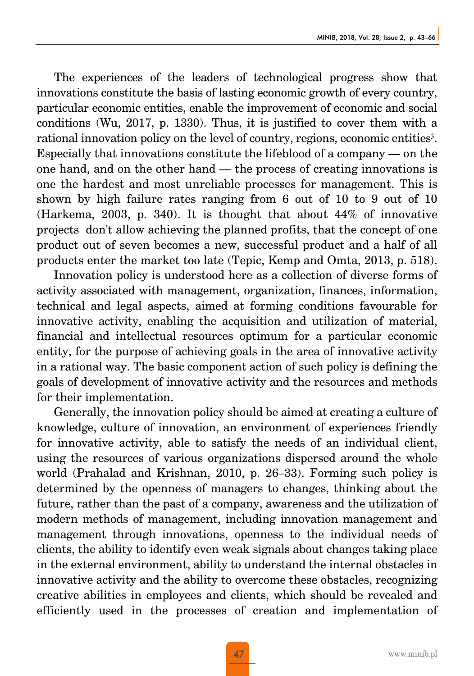The experiences of the leaders of technological progress show that innovations constitute the basis of lasting economic growth of every country, particular economic entities, enable the improvement of economic and social conditions (Wu, 2017, p. 1330). Thus, it is justified to cover them with a rational innovation policy on the level of country, regions, economic entities<sup>3</sup>. Especially that innovations constitute the lifeblood of a company — on the one hand, and on the other hand — the process of creating innovations is one the hardest and most unreliable processes for management. This is shown by high failure rates ranging from 6 out of 10 to 9 out of 10 (Harkema, 2003, p. 340). It is thought that about 44% of innovative projects don't allow achieving the planned profits, that the concept of one product out of seven becomes a new, successful product and a half of all products enter the market too late (Tepic, Kemp and Omta, 2013, p. 518).

Innovation policy is understood here as a collection of diverse forms of activity associated with management, organization, finances, information, technical and legal aspects, aimed at forming conditions favourable for innovative activity, enabling the acquisition and utilization of material, financial and intellectual resources optimum for a particular economic entity, for the purpose of achieving goals in the area of innovative activity in a rational way. The basic component action of such policy is defining the goals of development of innovative activity and the resources and methods for their implementation.

Generally, the innovation policy should be aimed at creating a culture of knowledge, culture of innovation, an environment of experiences friendly for innovative activity, able to satisfy the needs of an individual client, using the resources of various organizations dispersed around the whole world (Prahalad and Krishnan, 2010, p. 26–33). Forming such policy is determined by the openness of managers to changes, thinking about the future, rather than the past of a company, awareness and the utilization of modern methods of management, including innovation management and management through innovations, openness to the individual needs of clients, the ability to identify even weak signals about changes taking place in the external environment, ability to understand the internal obstacles in innovative activity and the ability to overcome these obstacles, recognizing creative abilities in employees and clients, which should be revealed and efficiently used in the processes of creation and implementation of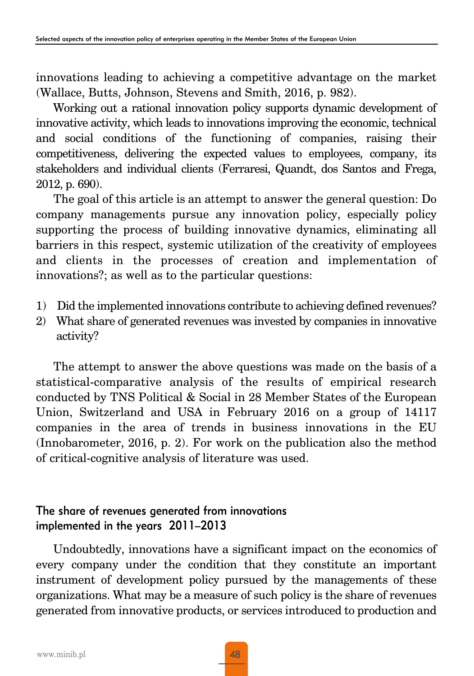innovations leading to achieving a competitive advantage on the market (Wallace, Butts, Johnson, Stevens and Smith, 2016, p. 982).

Working out a rational innovation policy supports dynamic development of innovative activity, which leads to innovations improving the economic, technical and social conditions of the functioning of companies, raising their competitiveness, delivering the expected values to employees, company, its stakeholders and individual clients (Ferraresi, Quandt, dos Santos and Frega, 2012, p. 690).

The goal of this article is an attempt to answer the general question: Do company managements pursue any innovation policy, especially policy supporting the process of building innovative dynamics, eliminating all barriers in this respect, systemic utilization of the creativity of employees and clients in the processes of creation and implementation of innovations?; as well as to the particular questions:

- 1) Did the implemented innovations contribute to achieving defined revenues?
- 2) What share of generated revenues was invested by companies in innovative activity?

The attempt to answer the above questions was made on the basis of a statistical-comparative analysis of the results of empirical research conducted by TNS Political & Social in 28 Member States of the European Union, Switzerland and USA in February 2016 on a group of 14117 companies in the area of trends in business innovations in the EU (Innobarometer, 2016, p. 2). For work on the publication also the method of critical-cognitive analysis of literature was used.

#### The share of revenues generated from innovations implemented in the years 2011–2013

Undoubtedly, innovations have a significant impact on the economics of every company under the condition that they constitute an important instrument of development policy pursued by the managements of these organizations. What may be a measure of such policy is the share of revenues generated from innovative products, or services introduced to production and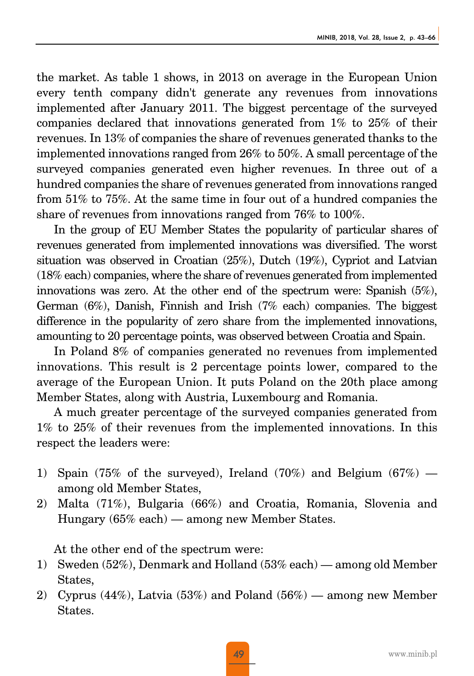the market. As table 1 shows, in 2013 on average in the European Union every tenth company didn't generate any revenues from innovations implemented after January 2011. The biggest percentage of the surveyed companies declared that innovations generated from 1% to 25% of their revenues. In 13% of companies the share of revenues generated thanks to the implemented innovations ranged from 26% to 50%. A small percentage of the surveyed companies generated even higher revenues. In three out of a hundred companies the share of revenues generated from innovations ranged from 51% to 75%. At the same time in four out of a hundred companies the share of revenues from innovations ranged from 76% to 100%.

In the group of EU Member States the popularity of particular shares of revenues generated from implemented innovations was diversified. The worst situation was observed in Croatian (25%), Dutch (19%), Cypriot and Latvian (18% each) companies, where the share of revenues generated from implemented innovations was zero. At the other end of the spectrum were: Spanish (5%), German (6%), Danish, Finnish and Irish (7% each) companies. The biggest difference in the popularity of zero share from the implemented innovations, amounting to 20 percentage points, was observed between Croatia and Spain.

In Poland 8% of companies generated no revenues from implemented innovations. This result is 2 percentage points lower, compared to the average of the European Union. It puts Poland on the 20th place among Member States, along with Austria, Luxembourg and Romania.

A much greater percentage of the surveyed companies generated from 1% to 25% of their revenues from the implemented innovations. In this respect the leaders were:

- 1) Spain (75% of the surveyed), Ireland (70%) and Belgium (67%) among old Member States,
- 2) Malta (71%), Bulgaria (66%) and Croatia, Romania, Slovenia and Hungary (65% each) — among new Member States.

At the other end of the spectrum were:

- 1) Sweden (52%), Denmark and Holland (53% each) among old Member States,
- 2) Cyprus (44%), Latvia (53%) and Poland (56%) among new Member States.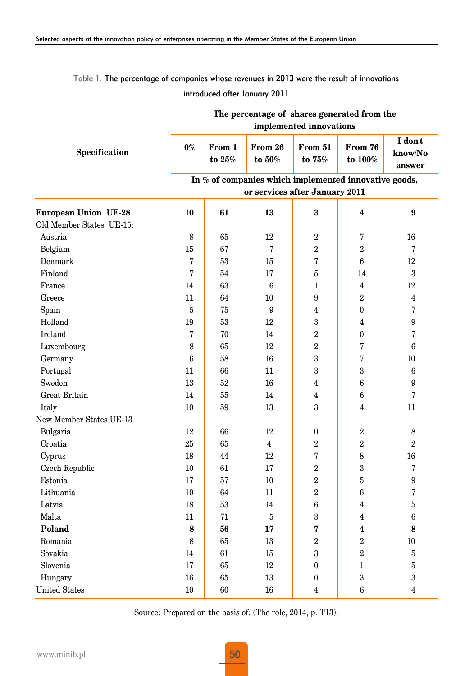Table 1. The percentage of companies whose revenues in 2013 were the result of innovations

introduced after January 2011

|                             | The percentage of shares generated from the<br>implemented innovations |                    |                   |                   |                    |                              |  |  |
|-----------------------------|------------------------------------------------------------------------|--------------------|-------------------|-------------------|--------------------|------------------------------|--|--|
| Specification               | $0\%$                                                                  | From 1<br>to $25%$ | From 26<br>to 50% | From 51<br>to 75% | From 76<br>to 100% | I don't<br>know/No<br>answer |  |  |
|                             | In % of companies which implemented innovative goods,                  |                    |                   |                   |                    |                              |  |  |
|                             | or services after January 2011                                         |                    |                   |                   |                    |                              |  |  |
| <b>European Union UE-28</b> | 10                                                                     | 61                 | 13                | 3                 | 4                  | $\pmb{9}$                    |  |  |
| Old Member States UE-15:    |                                                                        |                    |                   |                   |                    |                              |  |  |
| Austria                     | 8                                                                      | 65                 | 12                | $\,2$             | 7                  | 16                           |  |  |
| Belgium                     | 15                                                                     | 67                 | 7                 | $\overline{2}$    | $\overline{2}$     | 7                            |  |  |
| Denmark                     | 7                                                                      | 53                 | 15                | 7                 | 6                  | 12                           |  |  |
| Finland                     | 7                                                                      | 54                 | 17                | 5                 | 14                 | 3                            |  |  |
| France                      | 14                                                                     | 63                 | 6                 | $\mathbf{1}$      | 4                  | 12                           |  |  |
| Greece                      | 11                                                                     | 64                 | 10                | 9                 | $\overline{2}$     | 4                            |  |  |
| Spain                       | 5                                                                      | 75                 | 9                 | $\overline{4}$    | $\overline{0}$     | 7                            |  |  |
| Holland                     | 19                                                                     | 53                 | 12                | $\sqrt{3}$        | 4                  | 9                            |  |  |
| Ireland                     | 7                                                                      | 70                 | 14                | $\overline{2}$    | $\theta$           | 7                            |  |  |
| Luxembourg                  | 8                                                                      | 65                 | 12                | $\overline{2}$    | 7                  | 6                            |  |  |
| Germany                     | 6                                                                      | 58                 | 16                | 3                 | 7                  | 10                           |  |  |
| Portugal                    | 11                                                                     | 66                 | 11                | 3                 | 3                  | 6                            |  |  |
| Sweden                      | 13                                                                     | 52                 | 16                | $\overline{4}$    | 6                  | 9                            |  |  |
| Great Britain               | 14                                                                     | 55                 | 14                | $\overline{4}$    | 6                  | 7                            |  |  |
| Italy                       | 10                                                                     | 59                 | 13                | 3                 | 4                  | 11                           |  |  |
| New Member States UE-13     |                                                                        |                    |                   |                   |                    |                              |  |  |
| Bulgaria                    | 12                                                                     | 66                 | 12                | $\boldsymbol{0}$  | $\overline{2}$     | 8                            |  |  |
| Croatia                     | 25                                                                     | 65                 | $\overline{4}$    | $\overline{2}$    | $\overline{2}$     | $\overline{2}$               |  |  |
| Cyprus                      | 18                                                                     | 44                 | 12                | 7                 | 8                  | 16                           |  |  |
| Czech Republic              | 10                                                                     | 61                 | 17                | $\overline{2}$    | 3                  | 7                            |  |  |
| Estonia                     | 17                                                                     | 57                 | 10                | $\overline{2}$    | $\overline{5}$     | $\boldsymbol{9}$             |  |  |
| Lithuania                   | 10                                                                     | 64                 | 11                | $\overline{2}$    | 6                  | 7                            |  |  |
| Latvia                      | 18                                                                     | 53                 | 14                | 6                 | 4                  | 5                            |  |  |
| Malta                       | 11                                                                     | 71                 | 5                 | 3                 | 4                  | 6                            |  |  |
| Poland                      | 8                                                                      | 56                 | 17                | 7                 | 4                  | 8                            |  |  |
| Romania                     | 8                                                                      | 65                 | 13                | $\overline{2}$    | $\overline{2}$     | 10                           |  |  |
| Sovakia                     | 14                                                                     | 61                 | 15                | 3                 | $\overline{2}$     | 5                            |  |  |
| Slovenia                    | 17                                                                     | 65                 | 12                | $\bf{0}$          | $\mathbf{1}$       | 5                            |  |  |
| Hungary                     | 16                                                                     | 65                 | 13                | $\boldsymbol{0}$  | 3                  | 3                            |  |  |
| <b>United States</b>        | 10                                                                     | 60                 | 16                | $\overline{4}$    | 6                  | 4                            |  |  |

Source: Prepared on the basis of: (The role, 2014, p. T13).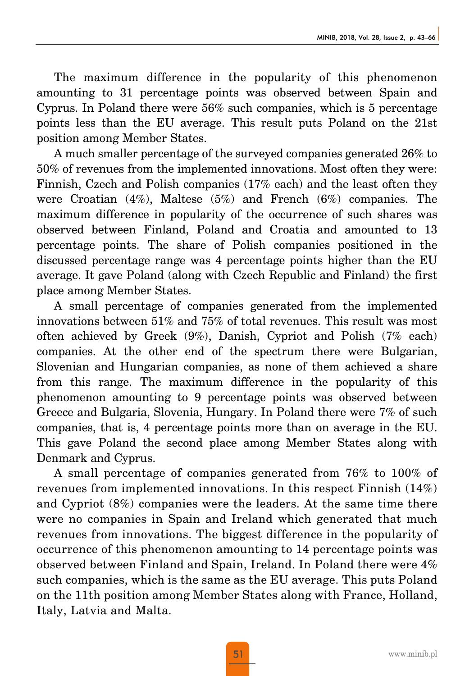The maximum difference in the popularity of this phenomenon amounting to 31 percentage points was observed between Spain and Cyprus. In Poland there were 56% such companies, which is 5 percentage points less than the EU average. This result puts Poland on the 21st position among Member States.

A much smaller percentage of the surveyed companies generated 26% to 50% of revenues from the implemented innovations. Most often they were: Finnish, Czech and Polish companies (17% each) and the least often they were Croatian (4%), Maltese (5%) and French (6%) companies. The maximum difference in popularity of the occurrence of such shares was observed between Finland, Poland and Croatia and amounted to 13 percentage points. The share of Polish companies positioned in the discussed percentage range was 4 percentage points higher than the EU average. It gave Poland (along with Czech Republic and Finland) the first place among Member States.

A small percentage of companies generated from the implemented innovations between 51% and 75% of total revenues. This result was most often achieved by Greek (9%), Danish, Cypriot and Polish (7% each) companies. At the other end of the spectrum there were Bulgarian, Slovenian and Hungarian companies, as none of them achieved a share from this range. The maximum difference in the popularity of this phenomenon amounting to 9 percentage points was observed between Greece and Bulgaria, Slovenia, Hungary. In Poland there were 7% of such companies, that is, 4 percentage points more than on average in the EU. This gave Poland the second place among Member States along with Denmark and Cyprus.

A small percentage of companies generated from 76% to 100% of revenues from implemented innovations. In this respect Finnish  $(14\%)$ and Cypriot (8%) companies were the leaders. At the same time there were no companies in Spain and Ireland which generated that much revenues from innovations. The biggest difference in the popularity of occurrence of this phenomenon amounting to 14 percentage points was observed between Finland and Spain, Ireland. In Poland there were 4% such companies, which is the same as the EU average. This puts Poland on the 11th position among Member States along with France, Holland, Italy, Latvia and Malta.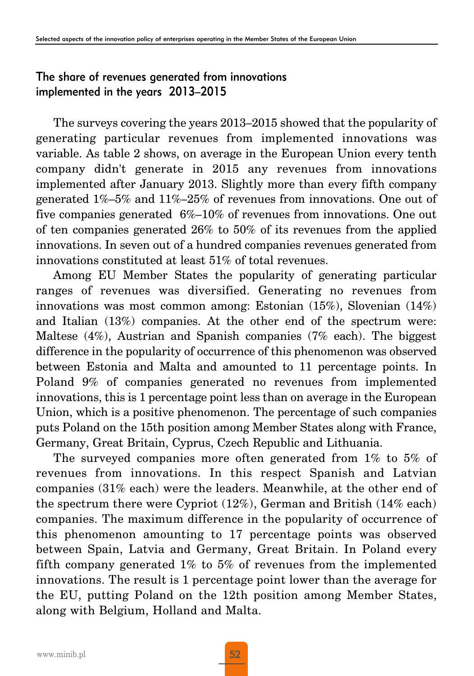#### The share of revenues generated from innovations implemented in the years 2013–2015

The surveys covering the years 2013–2015 showed that the popularity of generating particular revenues from implemented innovations was variable. As table 2 shows, on average in the European Union every tenth company didn't generate in 2015 any revenues from innovations implemented after January 2013. Slightly more than every fifth company generated 1%–5% and 11%–25% of revenues from innovations. One out of five companies generated 6%–10% of revenues from innovations. One out of ten companies generated 26% to 50% of its revenues from the applied innovations. In seven out of a hundred companies revenues generated from innovations constituted at least 51% of total revenues.

Among EU Member States the popularity of generating particular ranges of revenues was diversified. Generating no revenues from innovations was most common among: Estonian (15%), Slovenian (14%) and Italian (13%) companies. At the other end of the spectrum were: Maltese (4%), Austrian and Spanish companies (7% each). The biggest difference in the popularity of occurrence of this phenomenon was observed between Estonia and Malta and amounted to 11 percentage points. In Poland 9% of companies generated no revenues from implemented innovations, this is 1 percentage point less than on average in the European Union, which is a positive phenomenon. The percentage of such companies puts Poland on the 15th position among Member States along with France, Germany, Great Britain, Cyprus, Czech Republic and Lithuania.

The surveyed companies more often generated from 1% to 5% of revenues from innovations. In this respect Spanish and Latvian companies (31% each) were the leaders. Meanwhile, at the other end of the spectrum there were Cypriot (12%), German and British (14% each) companies. The maximum difference in the popularity of occurrence of this phenomenon amounting to 17 percentage points was observed between Spain, Latvia and Germany, Great Britain. In Poland every fifth company generated 1% to 5% of revenues from the implemented innovations. The result is 1 percentage point lower than the average for the EU, putting Poland on the 12th position among Member States, along with Belgium, Holland and Malta.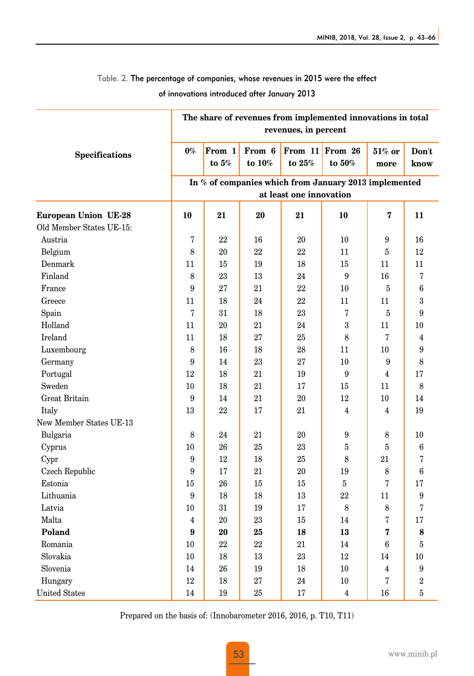#### Table. 2. The percentage of companies, whose revenues in 2015 were the effect

of innovations introduced after January 2013

|                             | The share of revenues from implemented innovations in total<br>revenues, in percent |                   |                     |                      |                      |                   |                |  |
|-----------------------------|-------------------------------------------------------------------------------------|-------------------|---------------------|----------------------|----------------------|-------------------|----------------|--|
| <b>Specifications</b>       | $0\%$                                                                               | From 1<br>to $5%$ | From 6<br>to $10\%$ | From 11<br>to $25\%$ | From 26<br>to $50\%$ | $51\%$ or<br>more | Don't<br>know  |  |
|                             | In % of companies which from January 2013 implemented                               |                   |                     |                      |                      |                   |                |  |
|                             | at least one innovation                                                             |                   |                     |                      |                      |                   |                |  |
| <b>European Union UE-28</b> | 10                                                                                  | 21                | 20                  | 21                   | 10                   | 7                 | 11             |  |
| Old Member States UE-15:    |                                                                                     |                   |                     |                      |                      |                   |                |  |
| Austria                     | 7                                                                                   | 22                | 16                  | 20                   | 10                   | 9                 | 16             |  |
| Belgium                     | 8                                                                                   | 20                | 22                  | 22                   | 11                   | 5                 | 12             |  |
| Denmark                     | 11                                                                                  | 15                | 19                  | 18                   | 15                   | 11                | 11             |  |
| Finland                     | 8                                                                                   | 23                | 13                  | 24                   | 9                    | 16                | 7              |  |
| France                      | 9                                                                                   | 27                | 21                  | 22                   | 10                   | 5                 | 6              |  |
| Greece                      | 11                                                                                  | 18                | 24                  | 22                   | 11                   | 11                | 3              |  |
| Spain                       | $\overline{7}$                                                                      | 31                | 18                  | 23                   | 7                    | $\overline{5}$    | 9              |  |
| Holland                     | 11                                                                                  | 20                | 21                  | 24                   | $\,3\,$              | 11                | 10             |  |
| Ireland                     | 11                                                                                  | 18                | 27                  | 25                   | 8                    | 7                 | 4              |  |
| Luxembourg                  | 8                                                                                   | 16                | 18                  | 28                   | 11                   | 10                | 9              |  |
| Germany                     | 9                                                                                   | 14                | 23                  | 27                   | 10                   | 9                 | 8              |  |
| Portugal                    | 12                                                                                  | 18                | 21                  | 19                   | 9                    | $\overline{4}$    | 17             |  |
| Sweden                      | 10                                                                                  | 18                | 21                  | 17                   | 15                   | 11                | 8              |  |
| Great Britain               | 9                                                                                   | 14                | 21                  | 20                   | 12                   | 10                | 14             |  |
| Italy                       | 13                                                                                  | 22                | 17                  | 21                   | 4                    | 4                 | 19             |  |
| New Member States UE-13     |                                                                                     |                   |                     |                      |                      |                   |                |  |
| Bulgaria                    | 8                                                                                   | 24                | 21                  | 20                   | 9                    | 8                 | 10             |  |
| Cyprus                      | 10                                                                                  | 26                | 25                  | 23                   | 5                    | 5                 | 6              |  |
| Cypr                        | 9                                                                                   | 12                | 18                  | 25                   | 8                    | 21                | 7              |  |
| Czech Republic              | 9                                                                                   | 17                | 21                  | 20                   | 19                   | 8                 | 6              |  |
| Estonia                     | 15                                                                                  | 26                | 15                  | 15                   | $\overline{5}$       | 7                 | 17             |  |
| Lithuania                   | 9                                                                                   | 18                | 18                  | 13                   | 22                   | 11                | 9              |  |
| Latvia                      | 10                                                                                  | 31                | 19                  | 17                   | 8                    | 8                 | 7              |  |
| Malta                       | 4                                                                                   | 20                | 23                  | 15                   | 14                   | 7                 | 17             |  |
| Poland                      | 9                                                                                   | 20                | 25                  | 18                   | 13                   | 7                 | 8              |  |
| Romania                     | 10                                                                                  | 22                | 22                  | 21                   | 14                   | 6                 | 5              |  |
| Slovakia                    | 10                                                                                  | 18                | 13                  | 23                   | 12                   | 14                | 10             |  |
| Slovenia                    | 14                                                                                  | 26                | 19                  | 18                   | 10                   | 4                 | 9              |  |
| Hungary                     | 12                                                                                  | 18                | 27                  | 24                   | $10\,$               | 7                 | $\overline{2}$ |  |
| <b>United States</b>        | 14                                                                                  | 19                | 25                  | 17                   | $\overline{4}$       | 16                | $\overline{5}$ |  |

Prepared on the basis of: (Innobarometer 2016, 2016, p. T10, T11)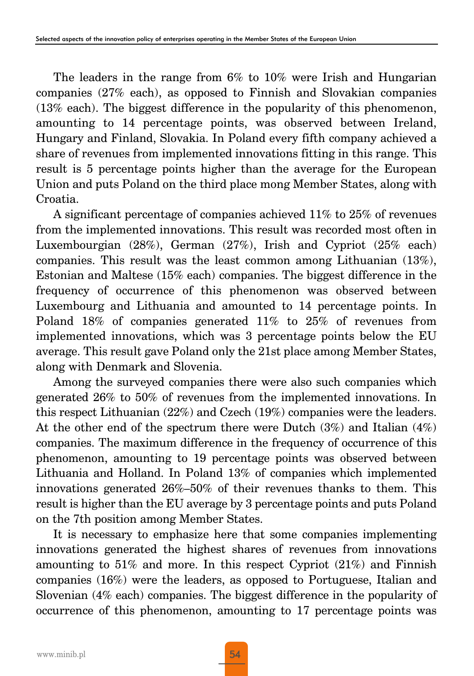The leaders in the range from 6% to 10% were Irish and Hungarian companies (27% each), as opposed to Finnish and Slovakian companies (13% each). The biggest difference in the popularity of this phenomenon, amounting to 14 percentage points, was observed between Ireland, Hungary and Finland, Slovakia. In Poland every fifth company achieved a share of revenues from implemented innovations fitting in this range. This result is 5 percentage points higher than the average for the European Union and puts Poland on the third place mong Member States, along with Croatia.

A significant percentage of companies achieved 11% to 25% of revenues from the implemented innovations. This result was recorded most often in Luxembourgian (28%), German (27%), Irish and Cypriot (25% each) companies. This result was the least common among Lithuanian (13%), Estonian and Maltese (15% each) companies. The biggest difference in the frequency of occurrence of this phenomenon was observed between Luxembourg and Lithuania and amounted to 14 percentage points. In Poland 18% of companies generated 11% to 25% of revenues from implemented innovations, which was 3 percentage points below the EU average. This result gave Poland only the 21st place among Member States, along with Denmark and Slovenia.

Among the surveyed companies there were also such companies which generated 26% to 50% of revenues from the implemented innovations. In this respect Lithuanian (22%) and Czech (19%) companies were the leaders. At the other end of the spectrum there were Dutch  $(3%)$  and Italian  $(4%)$ companies. The maximum difference in the frequency of occurrence of this phenomenon, amounting to 19 percentage points was observed between Lithuania and Holland. In Poland 13% of companies which implemented innovations generated 26%–50% of their revenues thanks to them. This result is higher than the EU average by 3 percentage points and puts Poland on the 7th position among Member States.

It is necessary to emphasize here that some companies implementing innovations generated the highest shares of revenues from innovations amounting to 51% and more. In this respect Cypriot (21%) and Finnish companies (16%) were the leaders, as opposed to Portuguese, Italian and Slovenian (4% each) companies. The biggest difference in the popularity of occurrence of this phenomenon, amounting to 17 percentage points was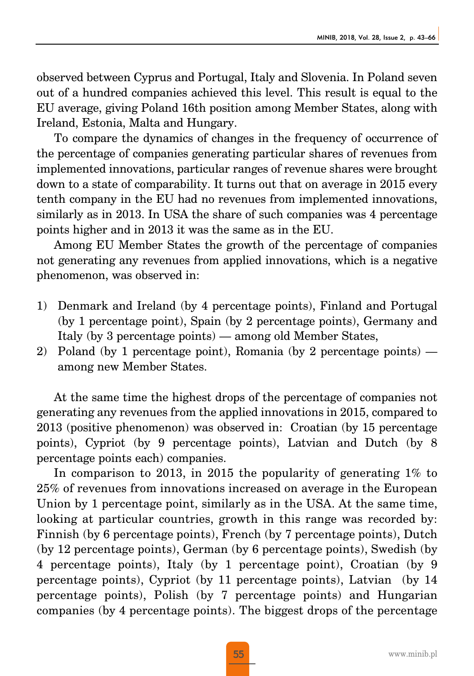observed between Cyprus and Portugal, Italy and Slovenia. In Poland seven out of a hundred companies achieved this level. This result is equal to the EU average, giving Poland 16th position among Member States, along with Ireland, Estonia, Malta and Hungary.

To compare the dynamics of changes in the frequency of occurrence of the percentage of companies generating particular shares of revenues from implemented innovations, particular ranges of revenue shares were brought down to a state of comparability. It turns out that on average in 2015 every tenth company in the EU had no revenues from implemented innovations, similarly as in 2013. In USA the share of such companies was 4 percentage points higher and in 2013 it was the same as in the EU.

Among EU Member States the growth of the percentage of companies not generating any revenues from applied innovations, which is a negative phenomenon, was observed in:

- 1) Denmark and Ireland (by 4 percentage points), Finland and Portugal (by 1 percentage point), Spain (by 2 percentage points), Germany and Italy (by 3 percentage points) — among old Member States,
- 2) Poland (by 1 percentage point), Romania (by 2 percentage points) among new Member States.

At the same time the highest drops of the percentage of companies not generating any revenues from the applied innovations in 2015, compared to 2013 (positive phenomenon) was observed in: Croatian (by 15 percentage points), Cypriot (by 9 percentage points), Latvian and Dutch (by 8 percentage points each) companies.

In comparison to 2013, in 2015 the popularity of generating 1% to 25% of revenues from innovations increased on average in the European Union by 1 percentage point, similarly as in the USA. At the same time, looking at particular countries, growth in this range was recorded by: Finnish (by 6 percentage points), French (by 7 percentage points), Dutch (by 12 percentage points), German (by 6 percentage points), Swedish (by 4 percentage points), Italy (by 1 percentage point), Croatian (by 9 percentage points), Cypriot (by 11 percentage points), Latvian (by 14 percentage points), Polish (by 7 percentage points) and Hungarian companies (by 4 percentage points). The biggest drops of the percentage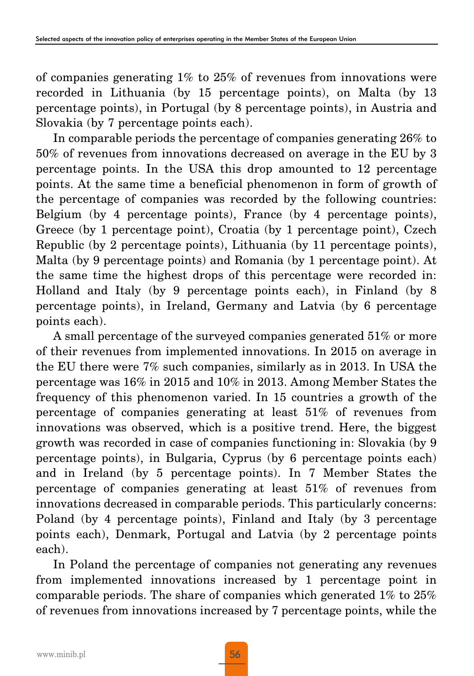of companies generating 1% to 25% of revenues from innovations were recorded in Lithuania (by 15 percentage points), on Malta (by 13 percentage points), in Portugal (by 8 percentage points), in Austria and Slovakia (by 7 percentage points each).

In comparable periods the percentage of companies generating 26% to 50% of revenues from innovations decreased on average in the EU by 3 percentage points. In the USA this drop amounted to 12 percentage points. At the same time a beneficial phenomenon in form of growth of the percentage of companies was recorded by the following countries: Belgium (by 4 percentage points), France (by 4 percentage points), Greece (by 1 percentage point), Croatia (by 1 percentage point), Czech Republic (by 2 percentage points), Lithuania (by 11 percentage points), Malta (by 9 percentage points) and Romania (by 1 percentage point). At the same time the highest drops of this percentage were recorded in: Holland and Italy (by 9 percentage points each), in Finland (by 8 percentage points), in Ireland, Germany and Latvia (by 6 percentage points each).

A small percentage of the surveyed companies generated 51% or more of their revenues from implemented innovations. In 2015 on average in the EU there were 7% such companies, similarly as in 2013. In USA the percentage was 16% in 2015 and 10% in 2013. Among Member States the frequency of this phenomenon varied. In 15 countries a growth of the percentage of companies generating at least 51% of revenues from innovations was observed, which is a positive trend. Here, the biggest growth was recorded in case of companies functioning in: Slovakia (by 9 percentage points), in Bulgaria, Cyprus (by 6 percentage points each) and in Ireland (by 5 percentage points). In 7 Member States the percentage of companies generating at least 51% of revenues from innovations decreased in comparable periods. This particularly concerns: Poland (by 4 percentage points), Finland and Italy (by 3 percentage points each), Denmark, Portugal and Latvia (by 2 percentage points each).

In Poland the percentage of companies not generating any revenues from implemented innovations increased by 1 percentage point in comparable periods. The share of companies which generated 1% to 25% of revenues from innovations increased by 7 percentage points, while the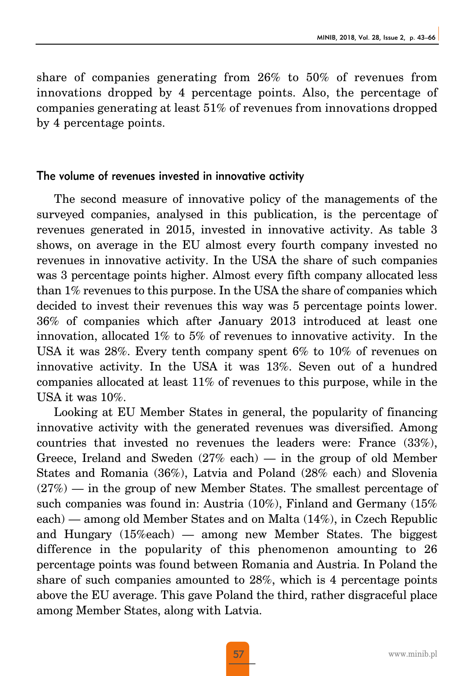share of companies generating from 26% to 50% of revenues from innovations dropped by 4 percentage points. Also, the percentage of companies generating at least 51% of revenues from innovations dropped by 4 percentage points.

#### The volume of revenues invested in innovative activity

The second measure of innovative policy of the managements of the surveyed companies, analysed in this publication, is the percentage of revenues generated in 2015, invested in innovative activity. As table 3 shows, on average in the EU almost every fourth company invested no revenues in innovative activity. In the USA the share of such companies was 3 percentage points higher. Almost every fifth company allocated less than 1% revenues to this purpose. In the USA the share of companies which decided to invest their revenues this way was 5 percentage points lower. 36% of companies which after January 2013 introduced at least one innovation, allocated 1% to 5% of revenues to innovative activity. In the USA it was 28%. Every tenth company spent 6% to 10% of revenues on innovative activity. In the USA it was 13%. Seven out of a hundred companies allocated at least 11% of revenues to this purpose, while in the USA it was 10%.

Looking at EU Member States in general, the popularity of financing innovative activity with the generated revenues was diversified. Among countries that invested no revenues the leaders were: France (33%), Greece, Ireland and Sweden (27% each) — in the group of old Member States and Romania (36%), Latvia and Poland (28% each) and Slovenia  $(27%)$  — in the group of new Member States. The smallest percentage of such companies was found in: Austria (10%), Finland and Germany (15% each) — among old Member States and on Malta (14%), in Czech Republic and Hungary (15%each) — among new Member States. The biggest difference in the popularity of this phenomenon amounting to 26 percentage points was found between Romania and Austria. In Poland the share of such companies amounted to 28%, which is 4 percentage points above the EU average. This gave Poland the third, rather disgraceful place among Member States, along with Latvia.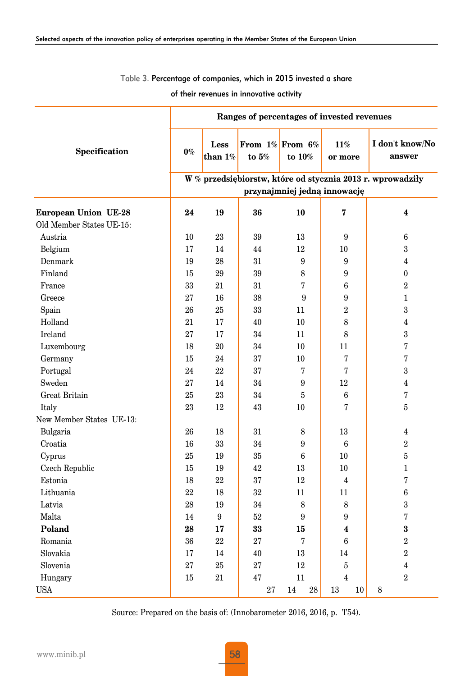#### Table 3. Percentage of companies, which in 2015 invested a share

of their revenues in innovative activity

|                             | Ranges of percentages of invested revenues                 |                    |         |                                 |                |                           |  |  |  |
|-----------------------------|------------------------------------------------------------|--------------------|---------|---------------------------------|----------------|---------------------------|--|--|--|
| Specification               | $0\%$                                                      | Less<br>than $1\%$ | to $5%$ | From $1\%$ From 6%<br>to $10\%$ | 11%<br>or more | I don't know/No<br>answer |  |  |  |
|                             | W % przedsiębiorstw, które od stycznia 2013 r. wprowadziły |                    |         |                                 |                |                           |  |  |  |
|                             | przynajmniej jedną innowację                               |                    |         |                                 |                |                           |  |  |  |
| <b>European Union UE-28</b> | 24                                                         | 19                 | 36      | 10                              | 7              | $\overline{\mathbf{4}}$   |  |  |  |
| Old Member States UE-15:    |                                                            |                    |         |                                 |                |                           |  |  |  |
| Austria                     | 10                                                         | 23                 | 39      | 13                              | 9              | 6                         |  |  |  |
| Belgium                     | 17                                                         | 14                 | 44      | 12                              | 10             | 3                         |  |  |  |
| Denmark                     | 19                                                         | 28                 | 31      | 9                               | 9              | $\overline{4}$            |  |  |  |
| Finland                     | 15                                                         | 29                 | 39      | 8                               | 9              | $\boldsymbol{0}$          |  |  |  |
| France                      | 33                                                         | 21                 | 31      | 7                               | 6              | $\,2$                     |  |  |  |
| Greece                      | 27                                                         | 16                 | 38      | 9                               | 9              | $\mathbf{1}$              |  |  |  |
| Spain                       | 26                                                         | 25                 | 33      | 11                              | $\overline{2}$ | 3                         |  |  |  |
| Holland                     | 21                                                         | 17                 | 40      | 10                              | 8              | 4                         |  |  |  |
| Ireland                     | 27                                                         | 17                 | 34      | 11                              | 8              | 3                         |  |  |  |
| Luxembourg                  | 18                                                         | 20                 | 34      | 10                              | 11             | 7                         |  |  |  |
| Germany                     | 15                                                         | 24                 | 37      | 10                              | 7              | 7                         |  |  |  |
| Portugal                    | 24                                                         | 22                 | 37      | 7                               | 7              | 3                         |  |  |  |
| Sweden                      | 27                                                         | 14                 | 34      | 9                               | 12             | $\overline{\mathbf{4}}$   |  |  |  |
| Great Britain               | 25                                                         | 23                 | 34      | 5                               | 6              | 7                         |  |  |  |
| Italy                       | 23                                                         | 12                 | 43      | 10                              | 7              | 5                         |  |  |  |
| New Member States UE-13:    |                                                            |                    |         |                                 |                |                           |  |  |  |
| Bulgaria                    | 26                                                         | 18                 | 31      | 8                               | 13             | 4                         |  |  |  |
| Croatia                     | 16                                                         | 33                 | 34      | 9                               | 6              | $\overline{2}$            |  |  |  |
| Cyprus                      | 25                                                         | 19                 | 35      | 6                               | 10             | 5                         |  |  |  |
| Czech Republic              | 15                                                         | 19                 | 42      | 13                              | 10             | $\mathbf 1$               |  |  |  |
| Estonia                     | 18                                                         | 22                 | 37      | 12                              | $\overline{4}$ | 7                         |  |  |  |
| Lithuania                   | 22                                                         | 18                 | 32      | 11                              | 11             | 6                         |  |  |  |
| Latvia                      | 28                                                         | 19                 | 34      | 8                               | 8              | 3                         |  |  |  |
| Malta                       | 14                                                         | 9                  | 52      | 9                               | 9              | 7                         |  |  |  |
| Poland                      | 28                                                         | 17                 | 33      | 15                              | 4              | 3                         |  |  |  |
| Romania                     | 36                                                         | 22                 | 27      | 7                               | 6              | $\,2$                     |  |  |  |
| Slovakia                    | 17                                                         | 14                 | 40      | 13                              | 14             | $\overline{2}$            |  |  |  |
| Slovenia                    | 27                                                         | 25                 | 27      | $12\,$                          | $\bf 5$        | $\overline{4}$            |  |  |  |
| Hungary                     | 15                                                         | 21                 | 47      | 11                              | $\overline{4}$ | $\sqrt{2}$                |  |  |  |
| <b>USA</b>                  |                                                            |                    | 27      | 28<br>14                        | 13<br>10       | 8                         |  |  |  |

Source: Prepared on the basis of: (Innobarometer 2016, 2016, p. T54).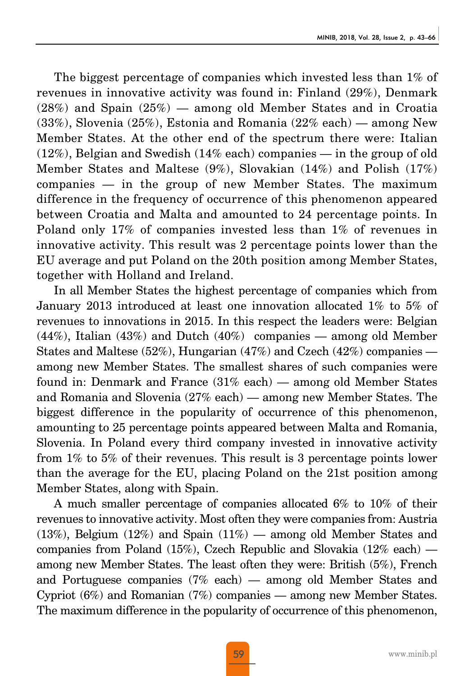The biggest percentage of companies which invested less than 1% of revenues in innovative activity was found in: Finland (29%), Denmark  $(28%)$  and Spain  $(25%)$  — among old Member States and in Croatia  $(33\%)$ , Slovenia  $(25\%)$ , Estonia and Romania  $(22\%$  each) — among New Member States. At the other end of the spectrum there were: Italian  $(12\%)$ , Belgian and Swedish  $(14\%$  each) companies — in the group of old Member States and Maltese (9%), Slovakian (14%) and Polish (17%) companies — in the group of new Member States. The maximum difference in the frequency of occurrence of this phenomenon appeared between Croatia and Malta and amounted to 24 percentage points. In Poland only 17% of companies invested less than 1% of revenues in innovative activity. This result was 2 percentage points lower than the EU average and put Poland on the 20th position among Member States, together with Holland and Ireland.

In all Member States the highest percentage of companies which from January 2013 introduced at least one innovation allocated 1% to 5% of revenues to innovations in 2015. In this respect the leaders were: Belgian (44%), Italian (43%) and Dutch (40%) companies — among old Member States and Maltese (52%), Hungarian (47%) and Czech (42%) companies among new Member States. The smallest shares of such companies were found in: Denmark and France (31% each) — among old Member States and Romania and Slovenia (27% each) — among new Member States. The biggest difference in the popularity of occurrence of this phenomenon, amounting to 25 percentage points appeared between Malta and Romania, Slovenia. In Poland every third company invested in innovative activity from 1% to 5% of their revenues. This result is 3 percentage points lower than the average for the EU, placing Poland on the 21st position among Member States, along with Spain.

A much smaller percentage of companies allocated 6% to 10% of their revenues to innovative activity. Most often they were companies from: Austria (13%), Belgium (12%) and Spain (11%) — among old Member States and companies from Poland (15%), Czech Republic and Slovakia (12% each) among new Member States. The least often they were: British (5%), French and Portuguese companies (7% each) — among old Member States and Cypriot (6%) and Romanian (7%) companies — among new Member States. The maximum difference in the popularity of occurrence of this phenomenon,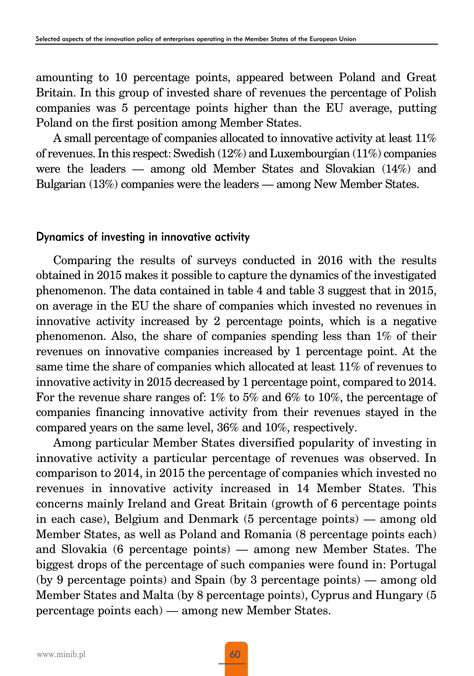amounting to 10 percentage points, appeared between Poland and Great Britain. In this group of invested share of revenues the percentage of Polish companies was 5 percentage points higher than the EU average, putting Poland on the first position among Member States.

A small percentage of companies allocated to innovative activity at least 11% of revenues. In this respect: Swedish (12%) and Luxembourgian (11%) companies were the leaders — among old Member States and Slovakian (14%) and Bulgarian (13%) companies were the leaders — among New Member States.

#### Dynamics of investing in innovative activity

Comparing the results of surveys conducted in 2016 with the results obtained in 2015 makes it possible to capture the dynamics of the investigated phenomenon. The data contained in table 4 and table 3 suggest that in 2015, on average in the EU the share of companies which invested no revenues in innovative activity increased by 2 percentage points, which is a negative phenomenon. Also, the share of companies spending less than 1% of their revenues on innovative companies increased by 1 percentage point. At the same time the share of companies which allocated at least 11% of revenues to innovative activity in 2015 decreased by 1 percentage point, compared to 2014. For the revenue share ranges of: 1% to 5% and 6% to 10%, the percentage of companies financing innovative activity from their revenues stayed in the compared years on the same level, 36% and 10%, respectively.

Among particular Member States diversified popularity of investing in innovative activity a particular percentage of revenues was observed. In comparison to 2014, in 2015 the percentage of companies which invested no revenues in innovative activity increased in 14 Member States. This concerns mainly Ireland and Great Britain (growth of 6 percentage points in each case), Belgium and Denmark (5 percentage points) — among old Member States, as well as Poland and Romania (8 percentage points each) and Slovakia (6 percentage points) — among new Member States. The biggest drops of the percentage of such companies were found in: Portugal (by 9 percentage points) and Spain (by 3 percentage points) — among old Member States and Malta (by 8 percentage points), Cyprus and Hungary (5 percentage points each) — among new Member States.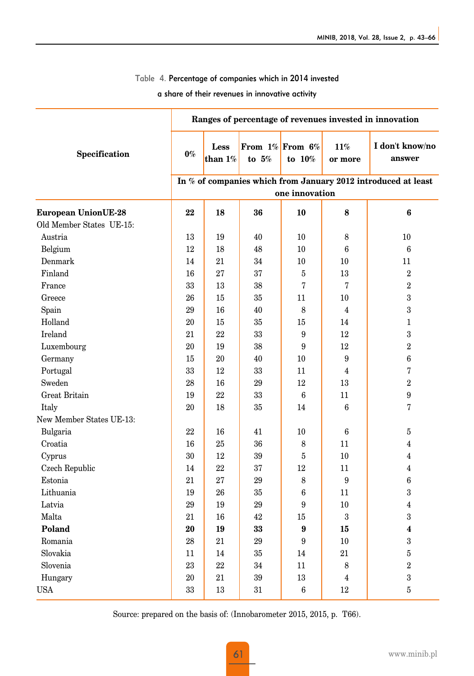#### Table 4. Percentage of companies which in 2014 invested

a share of their revenues in innovative activity

|                            | Ranges of percentage of revenues invested in innovation       |                    |         |                                 |                |                           |  |  |
|----------------------------|---------------------------------------------------------------|--------------------|---------|---------------------------------|----------------|---------------------------|--|--|
| Specification              | $0\%$                                                         | Less<br>than $1\%$ | to $5%$ | From $1\%$ From 6%<br>to $10\%$ | 11%<br>or more | I don't know/no<br>answer |  |  |
|                            | In % of companies which from January 2012 introduced at least |                    |         |                                 |                |                           |  |  |
|                            | one innovation                                                |                    |         |                                 |                |                           |  |  |
| <b>European UnionUE-28</b> | 22                                                            | 18                 | 36      | 10                              | 8              | 6                         |  |  |
| Old Member States UE-15:   |                                                               |                    |         |                                 |                |                           |  |  |
| Austria                    | 13                                                            | 19                 | 40      | 10                              | 8              | 10                        |  |  |
| Belgium                    | 12                                                            | 18                 | 48      | 10                              | 6              | 6                         |  |  |
| Denmark                    | 14                                                            | 21                 | 34      | 10                              | 10             | 11                        |  |  |
| Finland                    | 16                                                            | 27                 | 37      | 5                               | 13             | $\overline{2}$            |  |  |
| France                     | 33                                                            | 13                 | 38      | 7                               | 7              | $\overline{2}$            |  |  |
| Greece                     | 26                                                            | 15                 | 35      | 11                              | 10             | 3                         |  |  |
| Spain                      | $\rm 29$                                                      | 16                 | 40      | 8                               | $\overline{4}$ | $\overline{3}$            |  |  |
| Holland                    | 20                                                            | 15                 | 35      | 15                              | 14             | $\mathbf{1}$              |  |  |
| Ireland                    | 21                                                            | 22                 | 33      | 9                               | 12             | $\overline{3}$            |  |  |
| Luxembourg                 | 20                                                            | 19                 | 38      | 9                               | 12             | $\overline{2}$            |  |  |
| Germany                    | 15                                                            | $20\,$             | 40      | $10\,$                          | 9              | $\bf 6$                   |  |  |
| Portugal                   | 33                                                            | 12                 | 33      | 11                              | $\overline{4}$ | 7                         |  |  |
| Sweden                     | 28                                                            | 16                 | 29      | 12                              | 13             | $\overline{2}$            |  |  |
| Great Britain              | 19                                                            | 22                 | 33      | $6\phantom{1}6$                 | 11             | 9                         |  |  |
| Italy                      | $20\,$                                                        | 18                 | 35      | 14                              | 6              | 7                         |  |  |
| New Member States UE-13:   |                                                               |                    |         |                                 |                |                           |  |  |
| Bulgaria                   | 22                                                            | 16                 | 41      | 10                              | 6              | 5                         |  |  |
| Croatia                    | 16                                                            | 25                 | 36      | 8                               | 11             | $\overline{4}$            |  |  |
| Cyprus                     | $30\,$                                                        | 12                 | 39      | $\overline{5}$                  | $10\,$         | $\overline{4}$            |  |  |
| Czech Republic             | 14                                                            | 22                 | 37      | 12                              | 11             | $\overline{4}$            |  |  |
| Estonia                    | 21                                                            | 27                 | 29      | 8                               | 9              | 6                         |  |  |
| Lithuania                  | 19                                                            | 26                 | 35      | 6                               | 11             | $\boldsymbol{3}$          |  |  |
| Latvia                     | 29                                                            | 19                 | 29      | 9                               | 10             | 4                         |  |  |
| Malta                      | 21                                                            | 16                 | 42      | 15                              | 3              | 3                         |  |  |
| Poland                     | 20                                                            | 19                 | 33      | 9                               | 15             | $\overline{\mathbf{4}}$   |  |  |
| Romania                    | 28                                                            | 21                 | 29      | 9                               | 10             | $\sqrt{3}$                |  |  |
| Slovakia                   | 11                                                            | 14                 | 35      | 14                              | 21             | $\overline{5}$            |  |  |
| Slovenia                   | 23                                                            | 22                 | 34      | 11                              | 8              | $\,2$                     |  |  |
| Hungary                    | 20                                                            | 21                 | 39      | 13                              | 4              | $\boldsymbol{3}$          |  |  |
| USA                        | 33                                                            | 13                 | 31      | 6                               | 12             | 5                         |  |  |

Source: prepared on the basis of: (Innobarometer 2015, 2015, p. T66).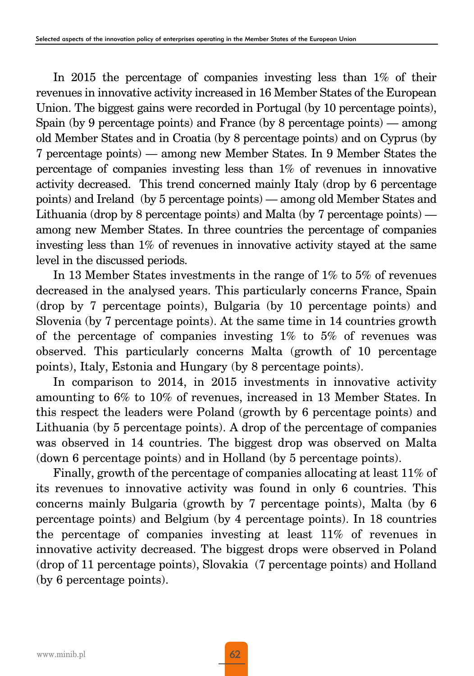In 2015 the percentage of companies investing less than 1% of their revenues in innovative activity increased in 16 Member States of the European Union. The biggest gains were recorded in Portugal (by 10 percentage points), Spain (by 9 percentage points) and France (by 8 percentage points) — among old Member States and in Croatia (by 8 percentage points) and on Cyprus (by 7 percentage points) — among new Member States. In 9 Member States the percentage of companies investing less than 1% of revenues in innovative activity decreased. This trend concerned mainly Italy (drop by 6 percentage points) and Ireland (by 5 percentage points) — among old Member States and Lithuania (drop by 8 percentage points) and Malta (by 7 percentage points) among new Member States. In three countries the percentage of companies investing less than 1% of revenues in innovative activity stayed at the same level in the discussed periods.

In 13 Member States investments in the range of 1% to 5% of revenues decreased in the analysed years. This particularly concerns France, Spain (drop by 7 percentage points), Bulgaria (by 10 percentage points) and Slovenia (by 7 percentage points). At the same time in 14 countries growth of the percentage of companies investing 1% to 5% of revenues was observed. This particularly concerns Malta (growth of 10 percentage points), Italy, Estonia and Hungary (by 8 percentage points).

In comparison to 2014, in 2015 investments in innovative activity amounting to 6% to 10% of revenues, increased in 13 Member States. In this respect the leaders were Poland (growth by 6 percentage points) and Lithuania (by 5 percentage points). A drop of the percentage of companies was observed in 14 countries. The biggest drop was observed on Malta (down 6 percentage points) and in Holland (by 5 percentage points).

Finally, growth of the percentage of companies allocating at least 11% of its revenues to innovative activity was found in only 6 countries. This concerns mainly Bulgaria (growth by 7 percentage points), Malta (by 6 percentage points) and Belgium (by 4 percentage points). In 18 countries the percentage of companies investing at least 11% of revenues in innovative activity decreased. The biggest drops were observed in Poland (drop of 11 percentage points), Slovakia (7 percentage points) and Holland (by 6 percentage points).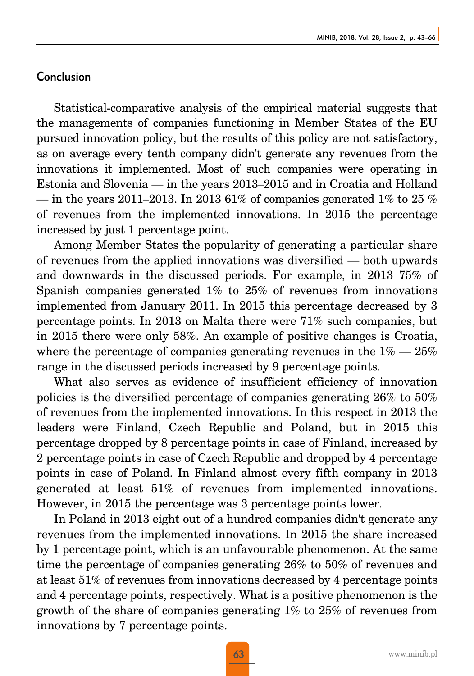#### Conclusion

Statistical-comparative analysis of the empirical material suggests that the managements of companies functioning in Member States of the EU pursued innovation policy, but the results of this policy are not satisfactory, as on average every tenth company didn't generate any revenues from the innovations it implemented. Most of such companies were operating in Estonia and Slovenia — in the years 2013–2015 and in Croatia and Holland — in the years 2011–2013. In 2013 61% of companies generated 1% to 25 % of revenues from the implemented innovations. In 2015 the percentage increased by just 1 percentage point.

Among Member States the popularity of generating a particular share of revenues from the applied innovations was diversified — both upwards and downwards in the discussed periods. For example, in 2013 75% of Spanish companies generated 1% to 25% of revenues from innovations implemented from January 2011. In 2015 this percentage decreased by 3 percentage points. In 2013 on Malta there were 71% such companies, but in 2015 there were only 58%. An example of positive changes is Croatia, where the percentage of companies generating revenues in the  $1\% - 25\%$ range in the discussed periods increased by 9 percentage points.

What also serves as evidence of insufficient efficiency of innovation policies is the diversified percentage of companies generating 26% to 50% of revenues from the implemented innovations. In this respect in 2013 the leaders were Finland, Czech Republic and Poland, but in 2015 this percentage dropped by 8 percentage points in case of Finland, increased by 2 percentage points in case of Czech Republic and dropped by 4 percentage points in case of Poland. In Finland almost every fifth company in 2013 generated at least 51% of revenues from implemented innovations. However, in 2015 the percentage was 3 percentage points lower.

In Poland in 2013 eight out of a hundred companies didn't generate any revenues from the implemented innovations. In 2015 the share increased by 1 percentage point, which is an unfavourable phenomenon. At the same time the percentage of companies generating 26% to 50% of revenues and at least 51% of revenues from innovations decreased by 4 percentage points and 4 percentage points, respectively. What is a positive phenomenon is the growth of the share of companies generating 1% to 25% of revenues from innovations by 7 percentage points.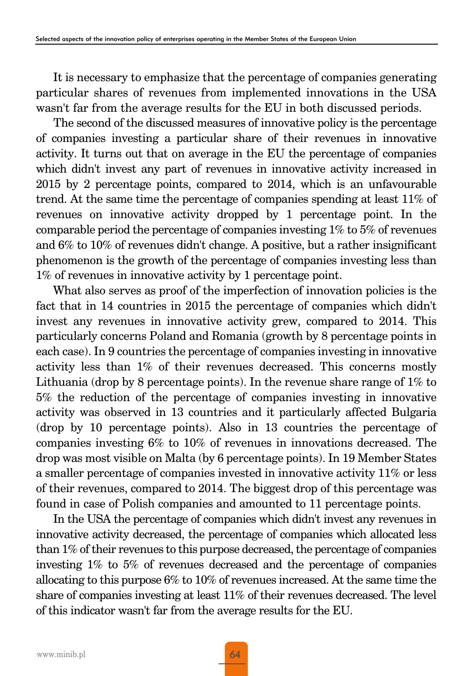It is necessary to emphasize that the percentage of companies generating particular shares of revenues from implemented innovations in the USA wasn't far from the average results for the EU in both discussed periods.

The second of the discussed measures of innovative policy is the percentage of companies investing a particular share of their revenues in innovative activity. It turns out that on average in the EU the percentage of companies which didn't invest any part of revenues in innovative activity increased in 2015 by 2 percentage points, compared to 2014, which is an unfavourable trend. At the same time the percentage of companies spending at least 11% of revenues on innovative activity dropped by 1 percentage point. In the comparable period the percentage of companies investing 1% to 5% of revenues and 6% to 10% of revenues didn't change. A positive, but a rather insignificant phenomenon is the growth of the percentage of companies investing less than 1% of revenues in innovative activity by 1 percentage point.

What also serves as proof of the imperfection of innovation policies is the fact that in 14 countries in 2015 the percentage of companies which didn't invest any revenues in innovative activity grew, compared to 2014. This particularly concerns Poland and Romania (growth by 8 percentage points in each case). In 9 countries the percentage of companies investing in innovative activity less than 1% of their revenues decreased. This concerns mostly Lithuania (drop by 8 percentage points). In the revenue share range of 1% to 5% the reduction of the percentage of companies investing in innovative activity was observed in 13 countries and it particularly affected Bulgaria (drop by 10 percentage points). Also in 13 countries the percentage of companies investing 6% to 10% of revenues in innovations decreased. The drop was most visible on Malta (by 6 percentage points). In 19 Member States a smaller percentage of companies invested in innovative activity 11% or less of their revenues, compared to 2014. The biggest drop of this percentage was found in case of Polish companies and amounted to 11 percentage points.

In the USA the percentage of companies which didn't invest any revenues in innovative activity decreased, the percentage of companies which allocated less than 1% of their revenues to this purpose decreased, the percentage of companies investing 1% to 5% of revenues decreased and the percentage of companies allocating to this purpose 6% to 10% of revenues increased. At the same time the share of companies investing at least 11% of their revenues decreased. The level of this indicator wasn't far from the average results for the EU.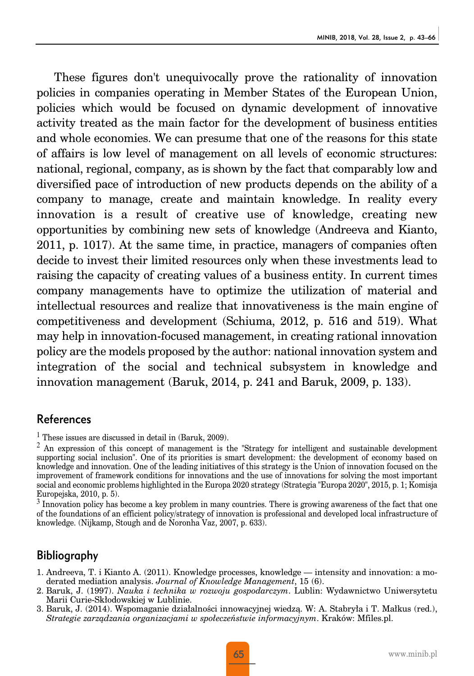These figures don't unequivocally prove the rationality of innovation policies in companies operating in Member States of the European Union, policies which would be focused on dynamic development of innovative activity treated as the main factor for the development of business entities and whole economies. We can presume that one of the reasons for this state of affairs is low level of management on all levels of economic structures: national, regional, company, as is shown by the fact that comparably low and diversified pace of introduction of new products depends on the ability of a company to manage, create and maintain knowledge. In reality every innovation is a result of creative use of knowledge, creating new opportunities by combining new sets of knowledge (Andreeva and Kianto, 2011, p. 1017). At the same time, in practice, managers of companies often decide to invest their limited resources only when these investments lead to raising the capacity of creating values of a business entity. In current times company managements have to optimize the utilization of material and intellectual resources and realize that innovativeness is the main engine of competitiveness and development (Schiuma, 2012, p. 516 and 519). What may help in innovation-focused management, in creating rational innovation policy are the models proposed by the author: national innovation system and integration of the social and technical subsystem in knowledge and innovation management (Baruk, 2014, p. 241 and Baruk, 2009, p. 133).

#### References

 $<sup>1</sup>$  These issues are discussed in detail in (Baruk, 2009).</sup>

 $2$  An expression of this concept of management is the "Strategy for intelligent and sustainable development supporting social inclusion". One of its priorities is smart development: the development of economy based on knowledge and innovation. One of the leading initiatives of this strategy is the Union of innovation focused on the improvement of framework conditions for innovations and the use of innovations for solving the most important social and economic problems highlighted in the Europa 2020 strategy (Strategia "Europa 2020", 2015, p. 1; Komisja Europejska, 2010, p. 5).

 $3$  Innovation policy has become a key problem in many countries. There is growing awareness of the fact that one of the foundations of an efficient policy/strategy of innovation is professional and developed local infrastructure of knowledge. (Nijkamp, Stough and de Noronha Vaz, 2007, p. 633).

#### Bibliography

- 1. Andreeva, T. i Kianto A. (2011). Knowledge processes, knowledge intensity and innovation: a moderated mediation analysis. *Journal of Knowledge Management*, 15 (6).
- 2. Baruk, J. (1997). *Nauka i technika w rozwoju gospodarczym*. Lublin: Wydawnictwo Uniwersytetu Marii Curie-Skłodowskiej w Lublinie.
- 3. Baruk, J. (2014). Wspomaganie działalności innowacyjnej wiedzą. W: A. Stabryła i T. Małkus (red.), *Strategie zarządzania organizacjami w społeczeństwie informacyjnym*. Kraków: Mfiles.pl.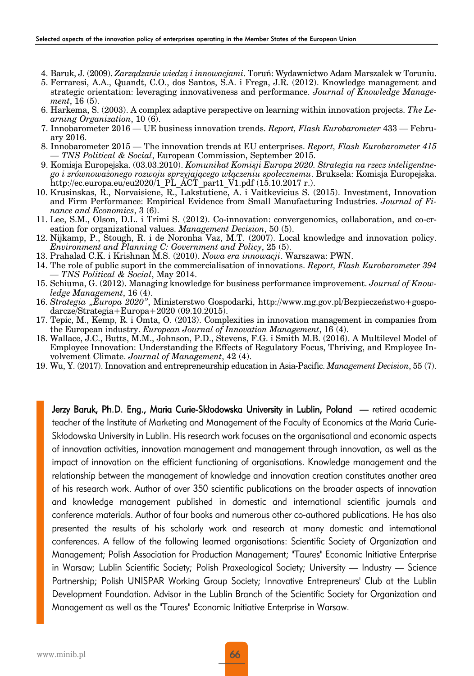- 4. Baruk, J. (2009). *Zarządzanie wiedzą i innowacjami*. Toruń: Wydawnictwo Adam Marszałek w Toruniu.
- 5. Ferraresi, A.A., Quandt, C.O., dos Santos, S.A. i Frega, J.R. (2012). Knowledge management and strategic orientation: leveraging innovativeness and performance. *Journal of Knowledge Management*, 16 (5).
- 6. Harkema, S. (2003). A complex adaptive perspective on learning within innovation projects. *The Learning Organization*, 10 (6).
- 7. Innobarometer 2016 UE business innovation trends. *Report, Flash Eurobarometer* 433 February 2016.
- 8. Innobarometer 2015 The innovation trends at EU enterprises. *Report, Flash Eurobarometer 415 — TNS Political & Social*, European Commission, September 2015.
- 9. Komisja Europejska. (03.03.2010). *Komunikat Komisji Europa 2020. Strategia na rzecz inteligentnego i zrównoważonego rozwoju sprzyjającego włączeniu społecznemu*. Bruksela: Komisja Europejska. http://ec.europa.eu/eu2020/1 PL ACT\_part1\_V1.pdf  $(15.10.2017 r.).$
- 10. Krusinskas, R., Norvaisiene, R., Lakstutiene, A. i Vaitkevicius S. (2015). Investment, Innovation and Firm Performance: Empirical Evidence from Small Manufacturing Industries. *Journal of Finance and Economics*, 3 (6).
- 11. Lee, S.M., Olson, D.L. i Trimi S. (2012). Co-innovation: convergenomics, collaboration, and co-creation for organizational values. *Management Decision*, 50 (5).
- 12. Nijkamp, P., Stough, R. i de Noronha Vaz, M.T. (2007). Local knowledge and innovation policy. *Environment and Planning C: Government and Policy*, 25 (5).
- 13. Prahalad C.K. i Krishnan M.S. (2010). *Nowa era innowacji*. Warszawa: PWN.
- 14. The role of public suport in the commercialisation of innovations. *Report, Flash Eurobarometer 394 — TNS Political & Social*, May 2014.
- 15. Schiuma, G. (2012). Managing knowledge for business performance improvement. *Journal of Knowledge Management*, 16 (4).
- 16. *Strategia "Europa 2020"*, Ministerstwo Gospodarki, http://www.mg.gov.pl/Bezpieczeństwo+gospodarcze/Strategia+Europa+2020 (09.10.2015).
- 17. Tepic, M., Kemp, R. i Omta, O. (2013). Complexities in innovation management in companies from the European industry. *European Journal of Innovation Management*, 16 (4).
- 18. Wallace, J.C., Butts, M.M., Johnson, P.D., Stevens, F.G. i Smith M.B. (2016). A Multilevel Model of Employee Innovation: Understanding the Effects of Regulatory Focus, Thriving, and Employee Involvement Climate. *Journal of Management*, 42 (4).
- 19. Wu, Y. (2017). Innovation and entrepreneurship education in Asia-Pacific. *Management Decision*, 55 (7).

Jerzy Baruk, Ph.D. Eng., Maria Curie-Skłodowska University in Lublin, Poland — retired academic teacher of the Institute of Marketing and Management of the Faculty of Economics at the Maria Curie-Skłodowska University in Lublin. His research work focuses on the organisational and economic aspects of innovation activities, innovation management and management through innovation, as well as the impact of innovation on the efficient functioning of organisations. Knowledge management and the relationship between the management of knowledge and innovation creation constitutes another area of his research work. Author of over 350 scientific publications on the broader aspects of innovation and knowledge management published in domestic and international scientific journals and conference materials. Author of four books and numerous other co-authored publications. He has also presented the results of his scholarly work and research at many domestic and international conferences. A fellow of the following learned organisations: Scientific Society of Organization and Management; Polish Association for Production Management; "Taures" Economic Initiative Enterprise in Warsaw; Lublin Scientific Society; Polish Praxeological Society; University — Industry — Science Partnership; Polish UNISPAR Working Group Society; Innovative Entrepreneurs' Club at the Lublin Development Foundation. Advisor in the Lublin Branch of the Scientific Society for Organization and Management as well as the "Taures" Economic Initiative Enterprise in Warsaw.